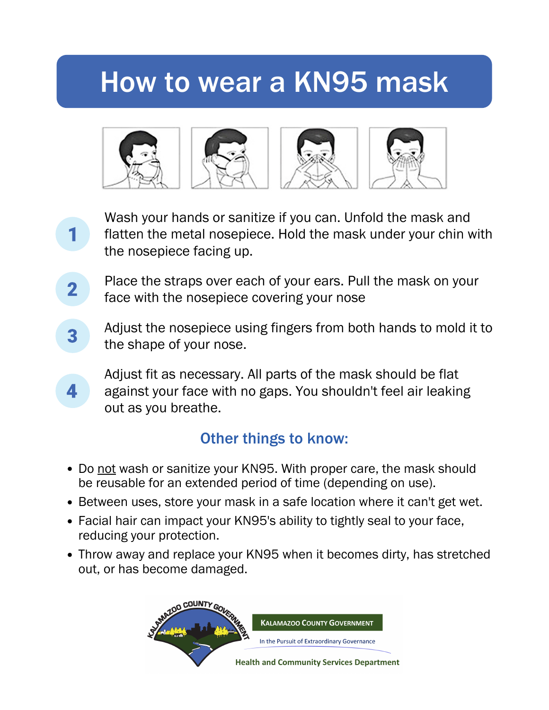## How to wear a KN95 mask



- Wash your hands or sanitize if you can. Unfold the mask and flatten the metal nosepiece. Hold the mask under your chin with the nosepiece facing up.
- Place the straps over each of your ears. Pull the mask on your  $\mathbf 2$ face with the nosepiece covering your nose

1

4

- Adjust the nosepiece using fingers from both hands to mold it to 3 the shape of your nose.
	- Adjust fit as necessary. All parts of the mask should be flat against your face with no gaps. You shouldn't feel air leaking out as you breathe.

## Other things to know:

- Do not wash or sanitize your KN95. With proper care, the mask should be reusable for an extended period of time (depending on use).
- Between uses, store your mask in a safe location where it can't get wet.
- Facial hair can impact your KN95's ability to tightly seal to your face, reducing your protection.
- Throw away and replace your KN95 when it becomes dirty, has stretched out, or has become damaged.